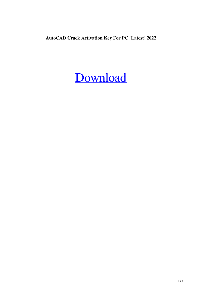**AutoCAD Crack Activation Key For PC [Latest] 2022**

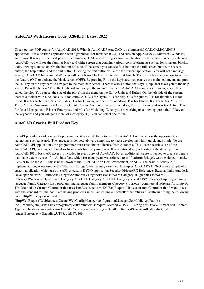## **AutoCAD With License Code [32|64bit] [Latest 2022]**

Check out my PDF course for AutoCAD 2018. What Is AutoCAD? AutoCAD is a commercial CAD/CAM/CAE/GIS application. It is a desktop application with a graphical user interface (GUI), and runs on Apple MacOS, Microsoft Windows, and Linux. It is one of the most powerful commercial CAD and drafting software applications in the market. When you launch AutoCAD, you will see the familiar black and white screen that contains various icons of elements such as fonts, layers, blocks, tools, drawings, and so on. On the bottom left side of the screen you can see four buttons: the full-screen button, the recent button, the help button, and the exit button. Clicking the exit button will close the current application. You will get a message saying, "AutoCAD has terminated". You will get a blank black screen on the first launch. The instructions are on how to activate the feature (ON) or activate the blank screen (OFF). By pressing F1 on the keyboard, you can see the main help menu, and press the "h" key on the keyboard to navigate to the main help screen. There is also a button that says "Help" that takes you to the help screen. Press the button "0" on the keyboard and you get the menu of the help. AutoCAD has only one drawing space. It is called the plot. You can set the size of the plot from the menu on the Edit > Units and Rulers. On the left side of the screen, there is a toolbar with nine icons: A is for AutoCAD, L is for layers, H is for help, G is for guides, T is for timeline, I is for Insert, R is for Reference, S is for Status, D is for Drawing, and V is for Windows. B is for Blocks, R is for Rules, M is for Text, C is for Dimension, and O is for Output. C is for Computer, W is for Window, F is for Forms, and A is for Active. D is for Data Management, E is for Enterprise, and M is for Modelling. When you are working on a drawing, press the "c" key on the keyboard and you will get a menu of a category (C). You can select one of the

#### **AutoCAD Crack+ Full Product Key**

the API provides a wide range of opportunities, it is also difficult to use. The AutoCAD API is almost the opposite of a technology such as AutoIt. The language is deliberately very simplistic to make developing with it quick and simple. To use AutoCAD API applications, the programmer must first obtain a license from Autodesk. This license restricts use of the AutoCAD API, creating additional software costs for every user, as well as additional support costs for the developer. With AutoCAD 2010, basic API access is included in every copy of AutoCAD, but an additional license is needed to create programs that make extensive use of it. An interface, which for many years was referred to as "Platform Bridge", was developed to make it easier to use the API. This is now known as the AutoCAD App Dev Environment, or ADE. The basic Autodesk API implementation, as opposed to the "Platform Bridge", was recently extended. Examples AutoCAD's DYNO is an example of a custom application which uses the API. A custom DYNO application See also ObjectARX References External links Autodesk Developer Network – Autodesk Category:Autodesk Category:Pascal software Category:3D graphics software Category:Windows-only software Category:AutoCAD Category:AutoLISP Category:Visual LISP Category:Lisp programming language family Category:Lisp programming language family members Category:Proprietary commercial software for LinuxQ: Test Method on Custom Controller that uses JsonResult, returns 400 Bad Request I have a custom Controller that I want to test, with the standard test method: I am having problems since I am calling a Controller that returns a JsonResult using the following code. HttpWebRequest request =

(HttpWebRequest)WebRequest.Create(WebConfigManager.configurationManager.GetMobileAppPath() +

"/APIMobile/jom\_tasks.asmx?op=getRequestParameters"); request.Method = "POST"; string postData = ""; //header("Content-Type: application/x-www-form-urlencoded"); string requestString = BuildHttpRequestString(postData,false); byte[] requestByteArray = Encoding.UTF8. a1d647c40b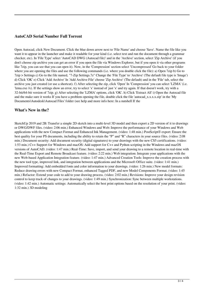### **AutoCAD Serial Number Full Torrent**

Open Autocad, click New Document. Click the blue down arrow next to 'File Name' and choose 'Save'. Name the file like you want it to appear in the launcher and make it readable for your kind (i.e. select text and run the document through a grammar checker, etc). In 'File Type' select 'AutoCAD DWG (Autocad file)' and in the 'Archive' section, select 'Zip Archive' (if you don't choose zip archive you can get an error if you open the file via Windows Explorer, but if you open it via other programs like 7zip, you can see that you can open it). Now, in the 'Compression' section select 'Uncompressed' Go back to your folder where you are opening the files and use the following commands (i.e. where you double click the file): a) Open 7zip b) Go to 7zip > Settings c) Go to the file named, "7-Zip Settings.7z" Change the 'File Type' to 'Archive' (The default file type is 'Image') d) Click 'OK' e) Click 'Add Archive' In 'Add Archive File' choose 'Zip Archive' (The default) and in the 'File' tab, select the archive you just created (or use a shortcut). f) After selecting the zip, click 'Open' In 'Compression' you can select 'LZMA' (i.e. 'lzma.exe /x). If the settings show an error, try to select 'x' instead of just 'x' and try again. If that doesn't work, try with a 32-bit/64-bit version of 7zip. g) After selecting the 'LZMA' options, click 'OK'. h) Click 'Extract All' i) Open the Autocad file and the make sure it works If you have a problem opening the file, double click the file 'autocad x.x.x.x.z.ip' in the 'My Documents\Autodesk\Autocad Files' folder (see help and more info here: In a nutshell If the

#### **What's New in the?**

SketchUp 2019 and 2B: Transfer a simple 2D sketch into a multi-level 3D model and then export a 2D version of it to drawings or DWG/DWF files. (video: 2:06 min.) Enhanced Windows and Web: Improve the performance of your Windows and Web applications with the new Compact Format and Enhanced Ink Management. (video: 1:48 min.) PostScript® export: Ensure the best quality for your PS documents, including the ability to retain the "P" and "R" characters in your source files. (video: 2:08 min.) Document security: Add document security (digital signatures) to your drawings with the new CS5 certifications. (video: 1:53 min.) C++ Support for Windows and macOS: Add support for C++ and Python scripting in the Windows and macOS versions of AutoCAD. (video: 1:47 min.) Real-Time: Save, import, and send your drawing to a remote location in real-time with the Real-Time Export and Remote Broadcast feature. (video: 2:22 min.) Web integration: Integrate your applications with the new Web-based Application Integration feature. (video: 1:47 min.) Advanced Creation Tools: Improve the creation process with the new tool type, improved link, and integration between applications and the Microsoft Office suite. (video: 1:41 min.) Improved formatting: Add embedded fonts and color information to your drawings. (video: 1:26 min.) New model formats: Reduce drawing errors with new Compact Format, enhanced Tagged PDF, and new Model Components Format. (video: 1:45 min.) Refactor: Extend your code to add to your drawing process. (video: 2:02 min.) Revisions: Improve your design revision control to keep track of changes to your drawings. (video: 1:49 min.) Synchronization: Sync between multiple workstations. (video: 1:42 min.) Automatic settings: Automatically select the best print options based on the resolution of your print. (video: 1:32 min.) 3D modeling